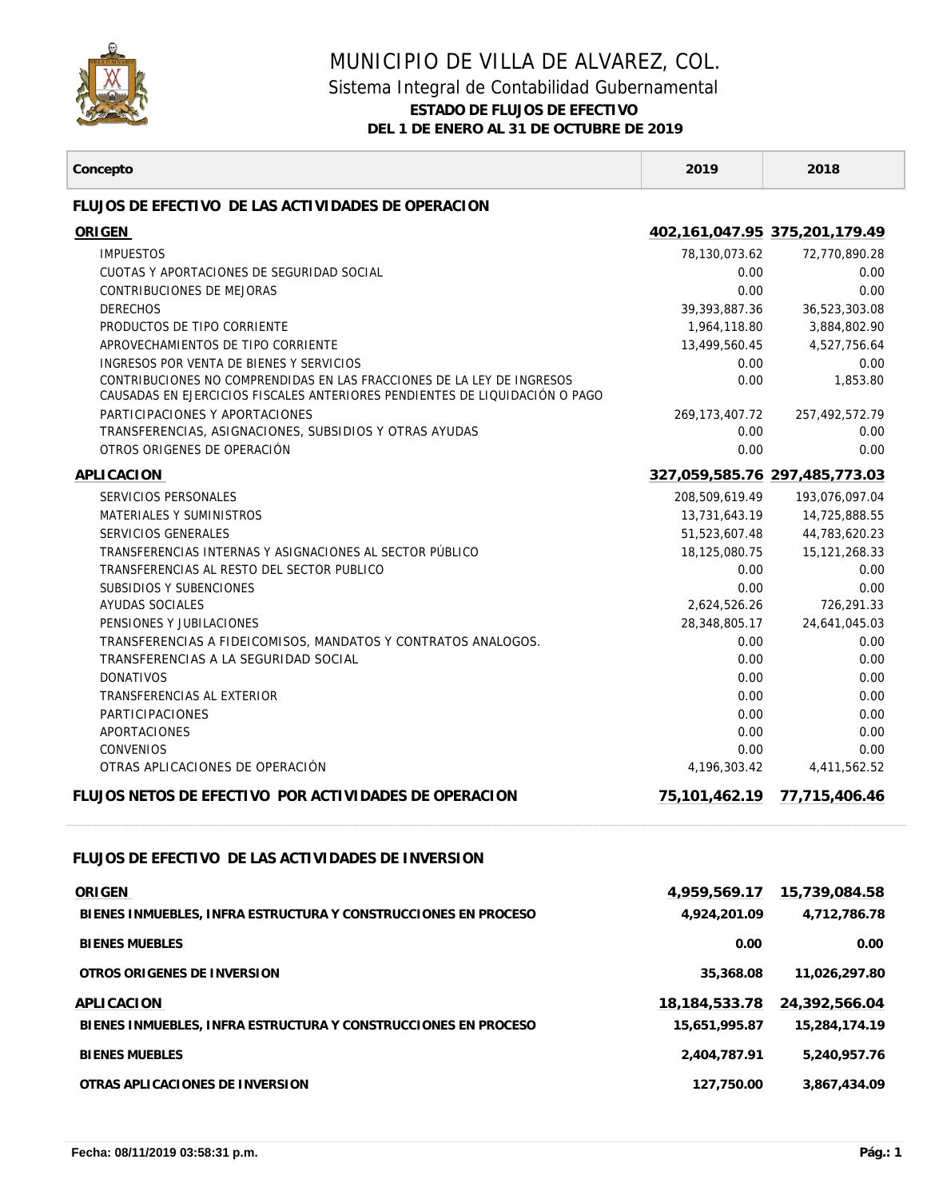

## MUNICIPIO DE VILLA DE ALVAREZ, COL. Sistema Integral de Contabilidad Gubernamental **ESTADO DE FLUJOS DE EFECTIVO**

**DEL 1 DE ENERO AL 31 DE OCTUBRE DE 2019**

| Concepto                                                                                                                                              | 2019                  | 2018                          |
|-------------------------------------------------------------------------------------------------------------------------------------------------------|-----------------------|-------------------------------|
| FLUJOS DE EFECTIVO DE LAS ACTIVIDADES DE OPERACION                                                                                                    |                       |                               |
| <b>ORIGEN</b>                                                                                                                                         |                       | 402,161,047.95 375,201,179.49 |
| <b>IMPUESTOS</b>                                                                                                                                      | 78,130,073.62         | 72,770,890.28                 |
| CUOTAS Y APORTACIONES DE SEGURIDAD SOCIAL                                                                                                             | 0.00                  | 0.00                          |
| CONTRIBUCIONES DE MEJORAS                                                                                                                             | 0.00                  | 0.00                          |
| <b>DERECHOS</b>                                                                                                                                       | 39, 393, 887. 36      | 36,523,303.08                 |
| PRODUCTOS DE TIPO CORRIENTE                                                                                                                           | 1,964,118.80          | 3,884,802.90                  |
| APROVECHAMIENTOS DE TIPO CORRIENTE                                                                                                                    | 13,499,560.45         | 4,527,756.64                  |
| INGRESOS POR VENTA DE BIENES Y SERVICIOS                                                                                                              | 0.00                  | 0.00                          |
| CONTRIBUCIONES NO COMPRENDIDAS EN LAS FRACCIONES DE LA LEY DE INGRESOS<br>CAUSADAS EN EJERCICIOS FISCALES ANTERIORES PENDIENTES DE LIQUIDACIÓN O PAGO | 0.00                  | 1,853.80                      |
| PARTICIPACIONES Y APORTACIONES                                                                                                                        | 269, 173, 407. 72     | 257,492,572.79                |
| TRANSFERENCIAS, ASIGNACIONES, SUBSIDIOS Y OTRAS AYUDAS                                                                                                | 0.00                  | 0.00                          |
| OTROS ORIGENES DE OPERACIÓN                                                                                                                           | 0.00                  | 0.00                          |
| APLICACION                                                                                                                                            |                       | 327,059,585.76 297,485,773.03 |
| SERVICIOS PERSONALES                                                                                                                                  | 208.509.619.49        | 193,076,097.04                |
| MATERIALES Y SUMINISTROS                                                                                                                              | 13,731,643.19         | 14,725,888.55                 |
| SERVICIOS GENERALES                                                                                                                                   | 51,523,607.48         | 44,783,620.23                 |
| TRANSFERENCIAS INTERNAS Y ASIGNACIONES AL SECTOR PÚBLICO                                                                                              | 18,125,080.75         | 15,121,268.33                 |
| TRANSFERENCIAS AL RESTO DEL SECTOR PUBLICO                                                                                                            | 0.00                  | 0.00                          |
| SUBSIDIOS Y SUBENCIONES                                                                                                                               | 0.00                  | 0.00                          |
| AYUDAS SOCIALES                                                                                                                                       | 2,624,526.26          | 726,291.33                    |
| PENSIONES Y JUBILACIONES<br>TRANSFERENCIAS A FIDEICOMISOS, MANDATOS Y CONTRATOS ANALOGOS.                                                             | 28,348,805.17<br>0.00 | 24,641,045.03<br>0.00         |
| TRANSFERENCIAS A LA SEGURIDAD SOCIAL                                                                                                                  | 0.00                  | 0.00                          |
| <b>DONATIVOS</b>                                                                                                                                      | 0.00                  | 0.00                          |
| TRANSFERENCIAS AL EXTERIOR                                                                                                                            | 0.00                  | 0.00                          |
| <b>PARTICIPACIONES</b>                                                                                                                                | 0.00                  | 0.00                          |
| APORTACIONES                                                                                                                                          | 0.00                  | 0.00                          |
| <b>CONVENIOS</b>                                                                                                                                      | 0.00                  | 0.00                          |
| OTRAS APLICACIONES DE OPERACIÓN                                                                                                                       | 4,196,303.42          | 4,411,562.52                  |
| FLUJOS NETOS DE EFECTIVO POR ACTIVIDADES DE OPERACION                                                                                                 | 75,101,462.19         | 77,715,406.46                 |
| FLUJOS DE EFECTIVO DE LAS ACTIVIDADES DE INVERSION                                                                                                    |                       |                               |
| <b>ORIGEN</b>                                                                                                                                         | 4,959,569.17          | 15,739,084.58                 |
| BIENES INMUEBLES, INFRA ESTRUCTURA Y CONSTRUCCIONES EN PROCESO                                                                                        | 4,924,201.09          | 4,712,786.78                  |
|                                                                                                                                                       |                       |                               |
| <b>BIENES MUEBLES</b>                                                                                                                                 | 0.00                  | 0.00                          |
| OTROS ORIGENES DE INVERSION                                                                                                                           | 35,368.08             | 11,026,297.80                 |
| APLICACION                                                                                                                                            | 18, 184, 533. 78      | 24,392,566.04                 |
| BIENES INMUEBLES, INFRA ESTRUCTURA Y CONSTRUCCIONES EN PROCESO                                                                                        | 15,651,995.87         | 15,284,174.19                 |
|                                                                                                                                                       |                       |                               |
| <b>BIENES MUEBLES</b>                                                                                                                                 | 2,404,787.91          | 5,240,957.76                  |
| OTRAS APLICACIONES DE INVERSION                                                                                                                       | 127,750.00            | 3,867,434.09                  |